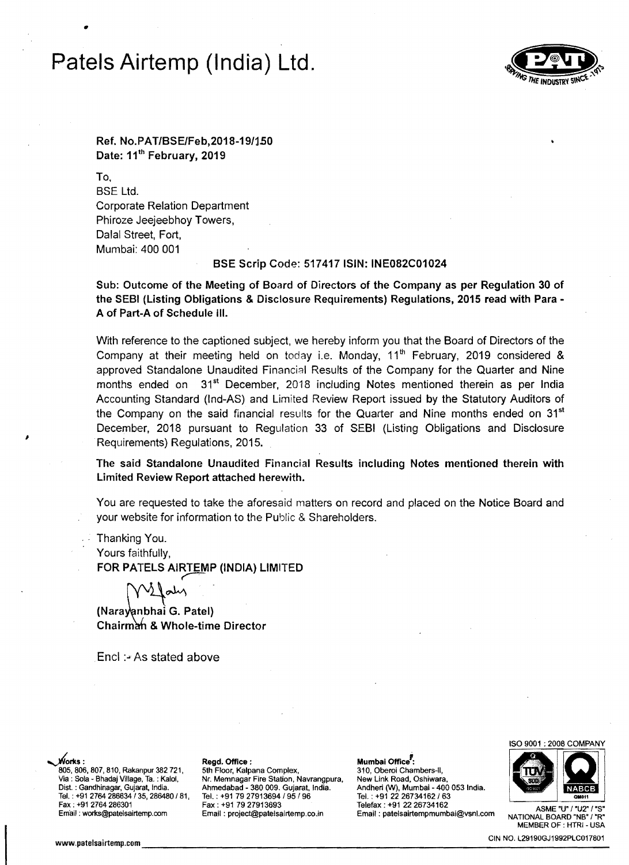# **Patels Airtemp (1ndia) Ltd.**

•



Ref. No.PAT/BSE/Feb,2018-19/1.S0 Date: 11<sup>th</sup> February, 2019

To, SSE Ltd. Corporate Relation Department Phiroze Jeejeebhoy Towers, Dalal Street, Fort, Mumbai: 400 001

### BSE Scrip Code: 517417 ISIN: INE082C01024

Sub: Outcome of the Meeting of Board of Directors of the Company as per Regulation 30 of the SEBI (Listing Obligations & Disclosure Requirements) Regulations, 2015 read with Para A of Part-A of Schedule III.

With reference to the captioned subject, we hereby inform you that the Board of Directors of the Company at their meeting held on today i.e. Monday,  $11<sup>th</sup>$  February, 2019 considered & approved Standalone Unaudited Financial Results of the Company for the Quarter and Nine months ended on 31<sup>st</sup> December, 2018 including Notes mentioned therein as per India Accounting Standard (Ind-AS) and Limited Review Report issued by the Statutory Auditors of the Company on the said financial results for the Quarter and Nine months ended on  $31<sup>st</sup>$ December, 2018 pursuant to Regulation 33 of SEBI (Listing Obligations and Disclosure Requirements) Regulations, 2015.

The said Standalone Unaudited Financial Results including Notes mentioned therein with Limited Review Report attached herewith.

You are requested to take the aforesaid matters on record and placed on the Notice Board and your website for information to the Public & Shareholders.

Thanking You. Yours faithfully, FOR PATELS AIRTEMP (INDIA) LIMITED

(Nara van bhai G. Patel) Chairman & Whole-time Director

Encl :- As stated above

~r1ts: Regd. Office: Mumbai OffiCe': 805, 806, 807, 810, Rakanpur 382 721, 5th Floor, Kalpana Complex, 310, Oberoi Chambers-II, 310, Oberoi Chambers-II,<br>Via : Sola - Bhadaj Village, Ta. : Kalol, Nr. Memnagar Fire Station, Navrangpura, New Link Road, Oshiwara,

Via : Sola - Bhadaj Village, Ta. : Kalol, Mr. Memnagar Fire Station, Navrangpura, New Link Road, Oshiwara, Vil<br>Dist. : Gandhinagar, Gujarat, India. Ahmedabad - 380 009. Gujarat, India. Andheri (W), Mumbai - 400 053 India. 009. Candheri (W), Mumbai - 400 Ahmedabad - 380 009. Gujarat, India. Andheri (W), Mumbai - 400 053 India. Andheri t; Tel. : +91 2764 286634/35, 286480/81, Tel. : +91 79 27913694 195/96 Tel. : +91 2226734162/63

Fax; +91 2764286301 Fax: +91 79 27913693 Telefax: +91 2226734162 ASME ·U" <sup>I</sup>"U2" I·S· Email ;works@patelsairtemp.com Email: project@patelsairtemp.co.in Email: patelsairtempmumbai@vsnl.com NATIONAL BOARD "NB' I"R'



MEMBER OF : HTRI - USA

www.patelsairtemp.com \_\_\_\_\_\_\_\_\_\_\_\_\_\_\_\_\_\_\_\_\_\_\_\_\_\_\_\_\_\_\_\_\_\_\_ CIN NO. L29190GJ1992PLC017801\_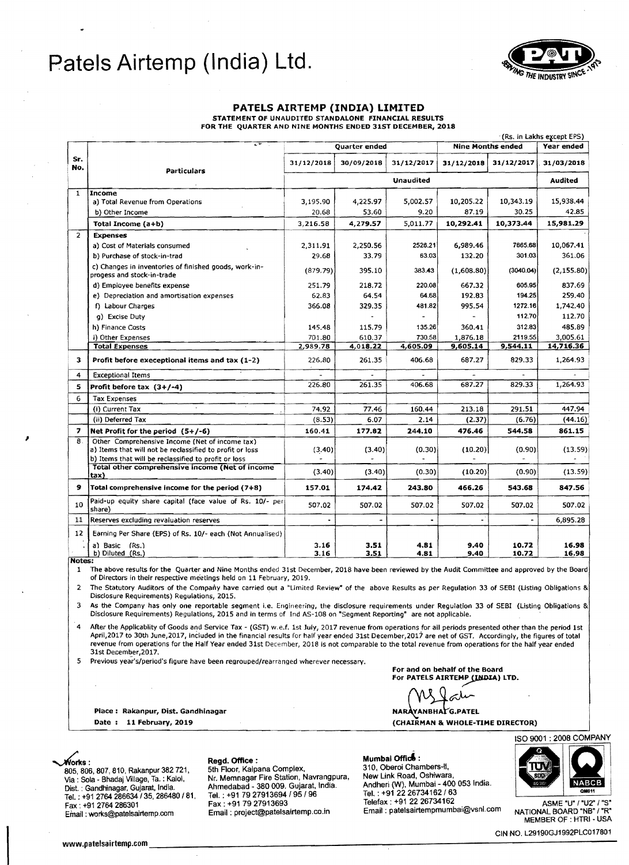## **Patels Airtemp (India) Ltd.**



### **PATELS AIRTEMP (INDIA) LIMITED**

STATEMENT OF UNAUDITED STANDALONE FINANCIAL RESULTS FOR THE QUARTER AND NINE MONTHS ENDED 31ST DECEMBER, 2018

|                | $\overline{\cdot}$                                                                                                                                                 |                      |              |              |                          |                | (Rs. in Lakhs except EPS) |
|----------------|--------------------------------------------------------------------------------------------------------------------------------------------------------------------|----------------------|--------------|--------------|--------------------------|----------------|---------------------------|
|                | <b>Particulars</b>                                                                                                                                                 | <b>Quarter ended</b> |              |              | <b>Nine Months ended</b> |                | Year ended                |
| Sr.<br>No.     |                                                                                                                                                                    | 31/12/2018           | 30/09/2018   | 31/12/2017   | 31/12/2018               | 31/12/2017     | 31/03/2018                |
|                |                                                                                                                                                                    | <b>Unaudited</b>     |              |              |                          |                | <b>Audited</b>            |
| $\mathbf{1}$   | <b>Income</b>                                                                                                                                                      |                      |              |              |                          |                |                           |
|                | a) Total Revenue from Operations                                                                                                                                   | 3,195.90             | 4,225.97     | 5,002.57     | 10,205.22                | 10,343.19      | 15,938.44                 |
|                | b) Other Income                                                                                                                                                    | 20.68                | 53.60        | 9.20         | 87.19                    | 30.25          | 42.85                     |
|                | Total Income (a+b)                                                                                                                                                 | 3.216.58             | 4,279.57     | 5,011.77     | 10,292.41                | 10,373.44      | 15,981.29                 |
| $\overline{2}$ | <b>Expenses</b>                                                                                                                                                    |                      |              |              |                          |                |                           |
|                | a) Cost of Materials consumed                                                                                                                                      | 2,311.91             | 2.250.56     | 2526.21      | 6,989.46                 | 7665.68        | 10,067.41                 |
|                | b) Purchase of stock-in-trad                                                                                                                                       | 29.68                | 33.79        | 63.03        | 132.20                   | 301.03         | 361.06                    |
|                | c) Changes in inventories of finished goods, work-in-<br>progess and stock-in-trade                                                                                | (879.79)             | 395.10       | 383.43       | (1,608.80)               | (3040.04)      | (2, 155.80)               |
|                | d) Employee benefits expense                                                                                                                                       | 251.79               | 218.72       | 220.08       | 667.32                   | 605.95         | 837.69                    |
|                | e) Depreciation and amortisation expenses                                                                                                                          | 62.83                | 64.54        | 64.68        | 192.83                   | 194.25         | 259.40                    |
|                | f) Labour Charges                                                                                                                                                  | 366.08               | 329.35       | 481.82       | 995.54                   | 1272.16        | 1,742.40                  |
|                | g) Excise Duty                                                                                                                                                     |                      |              |              |                          | 112.70         | 112.70                    |
|                | h) Finance Costs                                                                                                                                                   | 145.48               | 115.79       | 135.26       | 360.41                   | 312.83         | 485.89                    |
|                | i) Other Expenses                                                                                                                                                  | 701.80               | 610.37       | 730.58       | 1,876.18                 | 2119.55        | 3.005.61                  |
|                | <b>Total Expenses</b>                                                                                                                                              | 2,989.78             | 4,018.22     | 4,605.09     | 9,605,14                 | 9,544.11       | 14,716.36                 |
| 3              | Profit before execeptional items and tax (1-2)                                                                                                                     | 226.80               | 261.35       | 406.68       | 687.27                   | 829.33         | 1,264.93                  |
| 4              | <b>Exceptional Items</b>                                                                                                                                           |                      |              |              |                          |                |                           |
| 5              | Profit before tax $(3+/4)$                                                                                                                                         | 226.80               | 261.35       | 406.68       | 687.27                   | 829.33         | 1,264.93                  |
| 6              | <b>Tax Expenses</b>                                                                                                                                                |                      |              |              |                          |                |                           |
|                | $\alpha$<br>(i) Current Tax                                                                                                                                        | 74.92                | 77.46        | 160.44       | 213.18                   | 291.51         | 447.94                    |
|                | (ii) Deferred Tax                                                                                                                                                  | (8.53)               | 6.07         | 2.14         | (2.37)                   | (6.76)         | (44.16)                   |
| 7              | Net Profit for the period $(5+/6)$                                                                                                                                 | 160.41               | 177.82       | 244.10       | 476.46                   | 544.58         | 861.15                    |
| 8.             | Other Comprehensive Income (Net of income tax)<br>a) Items that will not be reclassified to profit or loss<br>b) Items that will be reclassified to profit or loss | (3.40)               | (3.40)       | (0.30)       | (10.20)                  | (0.90)         | (13.59)                   |
|                | Total other comprehensive income (Net of income<br>tax)                                                                                                            | (3.40)               | (3.40)       | (0.30)       | (10.20)                  | (0.90)         | (13.59)                   |
| 9              | Total comprehensive income for the period (7+8)                                                                                                                    | 157.01               | 174.42       | 243.80       | 466.26                   | 543.68         | 847.56                    |
| 10             | Paid-up equity share capital (face value of Rs. 10/- per<br>share)                                                                                                 | 507.02               | 507.02       | 507.02       | 507.02                   | 507.02         | 507.02                    |
| 11             | Reserves excluding revaluation reserves                                                                                                                            |                      |              |              |                          |                | 6,895.28                  |
| 12             | Earning Per Share (EPS) of Rs. 10/- each (Not Annualised)                                                                                                          |                      |              |              |                          |                |                           |
|                | a) Basic (Rs.)<br>b) Diluted (Rs.)                                                                                                                                 | 3.16<br>3.16         | 3.51<br>3.51 | 4.81<br>4.81 | 9.40<br>9.40             | 10.72<br>10,72 | 16.98<br>16.98            |

Notes:

1 The above results for the Quarter and Nine Months ended 31st December, 2018 have been reviewed by the Audit Committee and approved by the Board of Directors in their respective meetings held on 11 February, 2019.

2 The Statutory Auditors of the Company have carried out a "limited Review' of the above Results as per Regulation 33 of SEBI (listing Obligations & Disclosure Requirements) Regulations, 2015.

As the Company has only one reportable segment i.e. Engineering, the disclosure requirements under Regulation 33 of SEBI (Listing Obligations & Disdosure Requirements) Regulations, 2015 and in terms of Ind AS-lOB on 'Segment Reporting" are not applicable.

After the Applicablity of Goods and Service Tax - (GST) w.e.f. 1st July, 2017 revenue from operations for all periods presented other than the period 1st April,2017 to 30th June,2017, included in the financial results for half year ended 31st December,2017 are net of GST. Accordingly, the figures of total revenue from operations for the Half Year ended 31st December, 2018 is not comparable to the total revenue from operations for the half year ended 31st December,2017.

Previous year's/period's figure have been regrouped/rearranged wherever necessary.

Place: Rakanpur, Dist. Gandhinagar ,,~=:'L

For and on behalf of the Board For PATELS AIRTEMP (INDIA) LTD.

av

Date: 11 February, 2019 (CHAIRMAN & WHOLE-TIME DIRECTOR)

310, Oberoi Chambers-II. 805.806.807,810, Rakanpur 382 721, 5th Floor, Kalpana Complex, New Link Road, Oshiwara. *VIS.* : Sola - Bhadaj Village, Ta. : Kalol, Nr. Memnagar Fire Station, Navrangpura, Ahmedabad Andheri (W), Mumbai - 400 053 India. - 380 009. Gujarat, India. Tel. : +91 2226734162/63 Dist. : Gandhinagar, Gujarat, India. Tel. ; +91 2764 286634 / 35, 286480 / 81, Tel. ; +91 79 27913694 / 95 / 96 Tel. ; +91 22 26734162 / 63 Tel. ;<br>Fax : +91 79 27913693 Telefax ; +91 22 26734162 Telefax ; +91 27 / "S" Fax : +91 79 27913693 Telefax ; +91 22 2 "Fax : +91 79 asm Email : +91 79 27913693<br>Email : works@patelsairtemp.com Email : project@patelsairtemp.co.in Email : patelsairtempmumbai@vsnl.com NATIONAL BOARD "NB" / "R<br>^ Email : works@patelsairtemp.com Email : projec

~rtts: Regd. Office : Mumbai **Offici** :



MEMBER OF ; HTRI - USA

CIN NO. L29190GJ1992PLC017801 www.patelsairtemp.cDm \_\_\_\_\_\_\_\_\_\_\_\_\_\_\_\_\_\_\_\_\_\_\_-:\_\_\_\_\_\_\_\_\_-------------